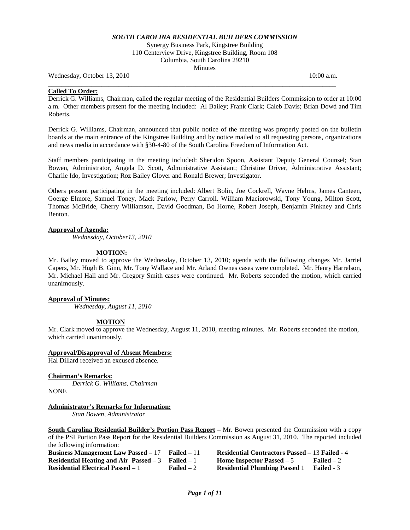## *SOUTH CAROLINA RESIDENTIAL BUILDERS COMMISSION*

Synergy Business Park, Kingstree Building 110 Centerview Drive, Kingstree Building, Room 108 Columbia, South Carolina 29210 **Minutes** 

**\_\_\_\_\_\_\_\_\_\_\_\_\_\_\_\_\_\_\_\_\_\_\_\_\_\_\_\_\_\_\_\_\_\_\_\_\_\_\_\_\_\_\_\_\_\_\_\_\_\_\_\_\_\_\_\_\_\_\_\_\_\_\_\_\_\_\_\_\_\_\_\_\_\_\_\_\_\_\_\_\_\_\_\_\_\_** 

Wednesday, October 13, 2010 10:00 a.m.

#### **Called To Order:**

Derrick G. Williams, Chairman, called the regular meeting of the Residential Builders Commission to order at 10:00 a.m. Other members present for the meeting included: Al Bailey; Frank Clark; Caleb Davis; Brian Dowd and Tim Roberts.

Derrick G. Williams, Chairman, announced that public notice of the meeting was properly posted on the bulletin boards at the main entrance of the Kingstree Building and by notice mailed to all requesting persons, organizations and news media in accordance with §30-4-80 of the South Carolina Freedom of Information Act.

Staff members participating in the meeting included: Sheridon Spoon, Assistant Deputy General Counsel; Stan Bowen, Administrator, Angela D. Scott, Administrative Assistant; Christine Driver, Administrative Assistant; Charlie Ido, Investigation; Roz Bailey Glover and Ronald Brewer; Investigator.

Others present participating in the meeting included: Albert Bolin, Joe Cockrell, Wayne Helms, James Canteen, Goerge Elmore, Samuel Toney, Mack Parlow, Perry Carroll. William Maciorowski, Tony Young, Milton Scott, Thomas McBride, Cherry Williamson, David Goodman, Bo Horne, Robert Joseph, Benjamin Pinkney and Chris Benton.

#### **Approval of Agenda:**

*Wednesday, October13, 2010*

#### **MOTION:**

Mr. Bailey moved to approve the Wednesday, October 13, 2010; agenda with the following changes Mr. Jarriel Capers, Mr. Hugh B. Ginn, Mr. Tony Wallace and Mr. Arland Ownes cases were completed. Mr. Henry Harrelson, Mr. Michael Hall and Mr. Gregory Smith cases were continued. Mr. Roberts seconded the motion, which carried unanimously.

#### **Approval of Minutes:**

*Wednesday, August 11, 2010*

#### **MOTION**

Mr. Clark moved to approve the Wednesday, August 11, 2010, meeting minutes. Mr. Roberts seconded the motion, which carried unanimously.

## **Approval/Disapproval of Absent Members:**

Hal Dillard received an excused absence.

#### **Chairman's Remarks:**

*Derrick G. Williams, Chairman* NONE

#### **Administrator's Remarks for Information:**

*Stan Bowen, Administrator*

**South Carolina Residential Builder's Portion Pass Report –** Mr. Bowen presented the Commission with a copy of the PSI Portion Pass Report for the Residential Builders Commission as August 31, 2010. The reported included the following information:

| <b>Business Management Law Passed – 17</b>          | Failed $-11$       | <b>Residential Contractors Passed – 13 Failed - 4</b> |                    |
|-----------------------------------------------------|--------------------|-------------------------------------------------------|--------------------|
| Residential Heating and Air Passed $-3$ Failed $-1$ |                    | <b>Home Inspector Passed – 5</b>                      | <b>Failed</b> $-2$ |
| <b>Residential Electrical Passed – 1</b>            | <b>Failed</b> $-2$ | <b>Residential Plumbing Passed</b>                    | <b>Failed - 3</b>  |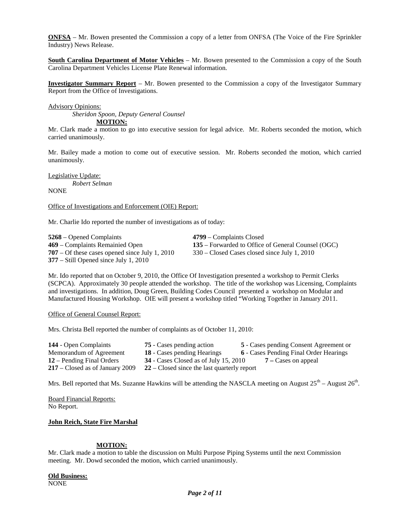**ONFSA** – Mr. Bowen presented the Commission a copy of a letter from ONFSA (The Voice of the Fire Sprinkler Industry) News Release.

**South Carolina Department of Motor Vehicles** – Mr. Bowen presented to the Commission a copy of the South Carolina Department Vehicles License Plate Renewal information.

**Investigator Summary Report** – Mr. Bowen presented to the Commission a copy of the Investigator Summary Report from the Office of Investigations.

Advisory Opinions:

*Sheridon Spoon, Deputy General Counsel*

**MOTION:**

Mr. Clark made a motion to go into executive session for legal advice. Mr. Roberts seconded the motion, which carried unanimously.

Mr. Bailey made a motion to come out of executive session. Mr. Roberts seconded the motion, which carried unanimously.

Legislative Update: *Robert Selman*

**NONE** 

Office of Investigations and Enforcement (OIE) Report:

Mr. Charlie Ido reported the number of investigations as of today:

**5268** – Opened Complaints<br> **4799** – Complaints Remainied Open<br> **135** – Forwarded to Office **707** – Of these cases opened since July 1, 2010 330 – Closed Cases closed since July 1, 2010 **377** – Still Opened since July 1, 2010

**135** – Forwarded to Office of General Counsel (OGC)

Mr. Ido reported that on October 9, 2010, the Office Of Investigation presented a workshop to Permit Clerks (SCPCA). Approximately 30 people attended the workshop. The title of the workshop was Licensing, Complaints and investigations. In addition, Doug Green, Building Codes Council presented a workshop on Modular and Manufactured Housing Workshop. OIE will present a workshop titled "Working Together in January 2011.

Office of General Counsel Report:

Mrs. Christa Bell reported the number of complaints as of October 11, 2010:

| 144 - Open Complaints             | 75 - Cases pending action                     | 5 - Cases pending Consent Agreement or        |
|-----------------------------------|-----------------------------------------------|-----------------------------------------------|
| Memorandum of Agreement           | <b>18</b> - Cases pending Hearings            | <b>6</b> - Cases Pending Final Order Hearings |
| 12 – Pending Final Orders         | $34$ - Cases Closed as of July 15, 2010       | $7 -$ Cases on appeal                         |
| $217$ – Closed as of January 2009 | $22$ – Closed since the last quarterly report |                                               |
|                                   |                                               |                                               |

Mrs. Bell reported that Ms. Suzanne Hawkins will be attending the NASCLA meeting on August  $25^{th}$  – August  $26^{th}$ .

Board Financial Reports: No Report.

#### **John Reich, State Fire Marshal**

# **MOTION:**

Mr. Clark made a motion to table the discussion on Multi Purpose Piping Systems until the next Commission meeting. Mr. Dowd seconded the motion, which carried unanimously.

**Old Business:**

NONE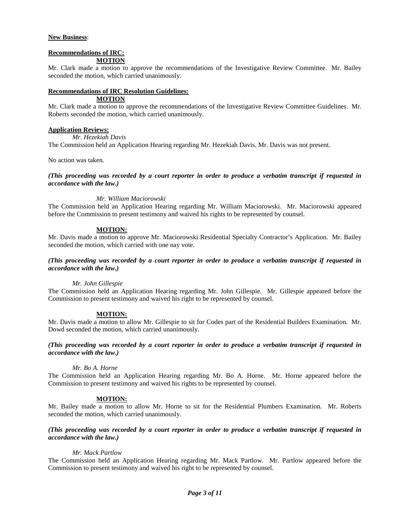# **New Business**:

#### **Recommendations of IRC: MOTION**

Mr. Clark made a motion to approve the recommendations of the Investigative Review Committee. Mr. Bailey seconded the motion, which carried unanimously.

# **Recommendations of IRC Resolution Guidelines:**

# **MOTION**

Mr. Clark made a motion to approve the recommendations of the Investigative Review Committee Guidelines. Mr. Roberts seconded the motion, which carried unanimously.

## **Application Reviews:**

*Mr*. *Hezekiah Davis*

The Commission held an Application Hearing regarding Mr. Hezekiah Davis. Mr. Davis was not present.

No action was taken.

*(This proceeding was recorded by a court reporter in order to produce a verbatim transcript if requested in accordance with the law.)*

## *Mr. William Maciorowski*

The Commission held an Application Hearing regarding Mr. William Maciorowski. Mr. Maciorowski appeared before the Commission to present testimony and waived his rights to be represented by counsel.

## **MOTION:**

Mr. Davis made a motion to approve Mr. Maciorowski Residential Specialty Contractor's Application. Mr. Bailey seconded the motion, which carried with one nay vote.

## *(This proceeding was recorded by a court reporter in order to produce a verbatim transcript if requested in accordance with the law.)*

#### *Mr. John Gillespie*

The Commission held an Application Hearing regarding Mr. John Gillespie. Mr. Gillespie appeared before the Commission to present testimony and waived his right to be represented by counsel.

# **MOTION:**

Mr. Davis made a motion to allow Mr. Gillespie to sit for Codes part of the Residential Builders Examination. Mr. Dowd seconded the motion, which carried unanimously.

## *(This proceeding was recorded by a court reporter in order to produce a verbatim transcript if requested in accordance with the law.)*

#### *Mr. Bo A. Horne*

The Commission held an Application Hearing regarding Mr. Bo A. Horne. Mr. Horne appeared before the Commission to present testimony and waived his rights to be represented by counsel.

# **MOTION:**

Mr. Bailey made a motion to allow Mr. Horne to sit for the Residential Plumbers Examination. Mr. Roberts seconded the motion, which carried unanimously.

## *(This proceeding was recorded by a court reporter in order to produce a verbatim transcript if requested in accordance with the law.)*

# *Mr. Mack Partlow*

The Commission held an Application Hearing regarding Mr. Mack Partlow. Mr. Partlow appeared before the Commission to present testimony and waived his right to be represented by counsel.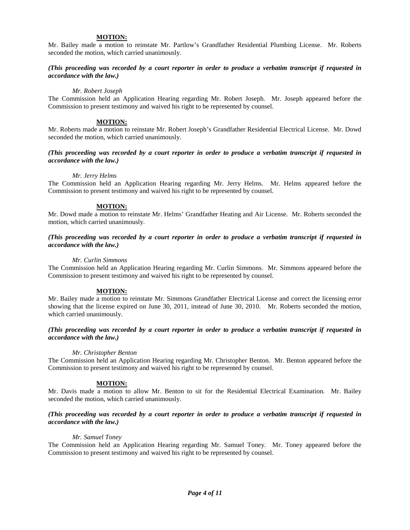#### **MOTION:**

Mr. Bailey made a motion to reinstate Mr. Partlow's Grandfather Residential Plumbing License. Mr. Roberts seconded the motion, which carried unanimously.

#### *(This proceeding was recorded by a court reporter in order to produce a verbatim transcript if requested in accordance with the law.)*

#### *Mr. Robert Joseph*

The Commission held an Application Hearing regarding Mr. Robert Joseph. Mr. Joseph appeared before the Commission to present testimony and waived his right to be represented by counsel.

#### **MOTION:**

Mr. Roberts made a motion to reinstate Mr. Robert Joseph's Grandfather Residential Electrical License. Mr. Dowd seconded the motion, which carried unanimously.

#### *(This proceeding was recorded by a court reporter in order to produce a verbatim transcript if requested in accordance with the law.)*

#### *Mr. Jerry Helms*

The Commission held an Application Hearing regarding Mr. Jerry Helms. Mr. Helms appeared before the Commission to present testimony and waived his right to be represented by counsel.

#### **MOTION:**

Mr. Dowd made a motion to reinstate Mr. Helms' Grandfather Heating and Air License. Mr. Roberts seconded the motion, which carried unanimously.

## *(This proceeding was recorded by a court reporter in order to produce a verbatim transcript if requested in accordance with the law.)*

#### *Mr. Curlin Simmons*

The Commission held an Application Hearing regarding Mr. Curlin Simmons. Mr. Simmons appeared before the Commission to present testimony and waived his right to be represented by counsel.

## **MOTION:**

Mr. Bailey made a motion to reinstate Mr. Simmons Grandfather Electrical License and correct the licensing error showing that the license expired on June 30, 2011, instead of June 30, 2010. Mr. Roberts seconded the motion, which carried unanimously.

## *(This proceeding was recorded by a court reporter in order to produce a verbatim transcript if requested in accordance with the law.)*

#### *Mr. Christopher Benton*

The Commission held an Application Hearing regarding Mr. Christopher Benton. Mr. Benton appeared before the Commission to present testimony and waived his right to be represented by counsel.

#### **MOTION:**

Mr. Davis made a motion to allow Mr. Benton to sit for the Residential Electrical Examination. Mr. Bailey seconded the motion, which carried unanimously.

#### *(This proceeding was recorded by a court reporter in order to produce a verbatim transcript if requested in accordance with the law.)*

#### *Mr. Samuel Toney*

The Commission held an Application Hearing regarding Mr. Samuel Toney. Mr. Toney appeared before the Commission to present testimony and waived his right to be represented by counsel.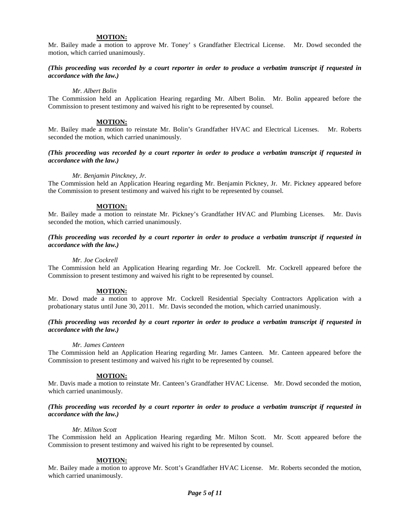#### **MOTION:**

Mr. Bailey made a motion to approve Mr. Toney' s Grandfather Electrical License. Mr. Dowd seconded the motion, which carried unanimously.

#### *(This proceeding was recorded by a court reporter in order to produce a verbatim transcript if requested in accordance with the law.)*

#### *Mr. Albert Bolin*

The Commission held an Application Hearing regarding Mr. Albert Bolin. Mr. Bolin appeared before the Commission to present testimony and waived his right to be represented by counsel.

#### **MOTION:**

Mr. Bailey made a motion to reinstate Mr. Bolin's Grandfather HVAC and Electrical Licenses. Mr. Roberts seconded the motion, which carried unanimously.

#### *(This proceeding was recorded by a court reporter in order to produce a verbatim transcript if requested in accordance with the law.)*

#### *Mr. Benjamin Pinckney, Jr.*

The Commission held an Application Hearing regarding Mr. Benjamin Pickney, Jr. Mr. Pickney appeared before the Commission to present testimony and waived his right to be represented by counsel.

#### **MOTION:**

Mr. Bailey made a motion to reinstate Mr. Pickney's Grandfather HVAC and Plumbing Licenses. Mr. Davis seconded the motion, which carried unanimously.

## *(This proceeding was recorded by a court reporter in order to produce a verbatim transcript if requested in accordance with the law.)*

#### *Mr. Joe Cockrell*

The Commission held an Application Hearing regarding Mr. Joe Cockrell. Mr. Cockrell appeared before the Commission to present testimony and waived his right to be represented by counsel.

## **MOTION:**

Mr. Dowd made a motion to approve Mr. Cockrell Residential Specialty Contractors Application with a probationary status until June 30, 2011. Mr. Davis seconded the motion, which carried unanimously.

# *(This proceeding was recorded by a court reporter in order to produce a verbatim transcript if requested in accordance with the law.)*

#### *Mr. James Canteen*

The Commission held an Application Hearing regarding Mr. James Canteen. Mr. Canteen appeared before the Commission to present testimony and waived his right to be represented by counsel.

#### **MOTION:**

Mr. Davis made a motion to reinstate Mr. Canteen's Grandfather HVAC License. Mr. Dowd seconded the motion, which carried unanimously.

#### *(This proceeding was recorded by a court reporter in order to produce a verbatim transcript if requested in accordance with the law.)*

#### *Mr. Milton Scott*

The Commission held an Application Hearing regarding Mr. Milton Scott. Mr. Scott appeared before the Commission to present testimony and waived his right to be represented by counsel.

## **MOTION:**

Mr. Bailey made a motion to approve Mr. Scott's Grandfather HVAC License. Mr. Roberts seconded the motion, which carried unanimously.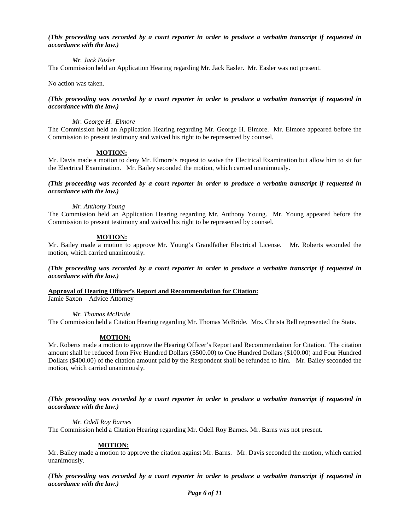## *(This proceeding was recorded by a court reporter in order to produce a verbatim transcript if requested in accordance with the law.)*

*Mr. Jack Easler*

The Commission held an Application Hearing regarding Mr. Jack Easler. Mr. Easler was not present.

No action was taken.

# *(This proceeding was recorded by a court reporter in order to produce a verbatim transcript if requested in accordance with the law.)*

## *Mr. George H. Elmore*

The Commission held an Application Hearing regarding Mr. George H. Elmore. Mr. Elmore appeared before the Commission to present testimony and waived his right to be represented by counsel.

# **MOTION:**

Mr. Davis made a motion to deny Mr. Elmore's request to waive the Electrical Examination but allow him to sit for the Electrical Examination. Mr. Bailey seconded the motion, which carried unanimously.

## *(This proceeding was recorded by a court reporter in order to produce a verbatim transcript if requested in accordance with the law.)*

## *Mr. Anthony Young*

The Commission held an Application Hearing regarding Mr. Anthony Young. Mr. Young appeared before the Commission to present testimony and waived his right to be represented by counsel.

# **MOTION:**

Mr. Bailey made a motion to approve Mr. Young's Grandfather Electrical License. Mr. Roberts seconded the motion, which carried unanimously.

*(This proceeding was recorded by a court reporter in order to produce a verbatim transcript if requested in accordance with the law.)*

**Approval of Hearing Officer's Report and Recommendation for Citation:**

Jamie Saxon – Advice Attorney

*Mr. Thomas McBride*

The Commission held a Citation Hearing regarding Mr. Thomas McBride. Mrs. Christa Bell represented the State.

# **MOTION:**

Mr. Roberts made a motion to approve the Hearing Officer's Report and Recommendation for Citation. The citation amount shall be reduced from Five Hundred Dollars (\$500.00) to One Hundred Dollars (\$100.00) and Four Hundred Dollars (\$400.00) of the citation amount paid by the Respondent shall be refunded to him. Mr. Bailey seconded the motion, which carried unanimously.

*(This proceeding was recorded by a court reporter in order to produce a verbatim transcript if requested in accordance with the law.)*

*Mr. Odell Roy Barnes*

The Commission held a Citation Hearing regarding Mr. Odell Roy Barnes. Mr. Barns was not present.

# **MOTION:**

Mr. Bailey made a motion to approve the citation against Mr. Barns. Mr. Davis seconded the motion, which carried unanimously.

*(This proceeding was recorded by a court reporter in order to produce a verbatim transcript if requested in accordance with the law.)*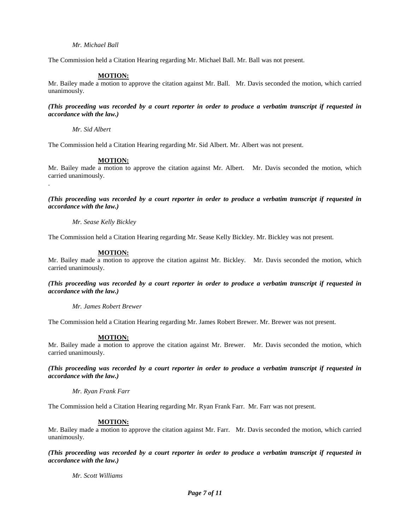## *Mr. Michael Ball*

The Commission held a Citation Hearing regarding Mr. Michael Ball. Mr. Ball was not present.

## **MOTION:**

Mr. Bailey made a motion to approve the citation against Mr. Ball. Mr. Davis seconded the motion, which carried unanimously.

## *(This proceeding was recorded by a court reporter in order to produce a verbatim transcript if requested in accordance with the law.)*

*Mr. Sid Albert*

.

The Commission held a Citation Hearing regarding Mr. Sid Albert. Mr. Albert was not present.

## **MOTION:**

Mr. Bailey made a motion to approve the citation against Mr. Albert. Mr. Davis seconded the motion, which carried unanimously.

*(This proceeding was recorded by a court reporter in order to produce a verbatim transcript if requested in accordance with the law.)*

#### *Mr. Sease Kelly Bickley*

The Commission held a Citation Hearing regarding Mr. Sease Kelly Bickley. Mr. Bickley was not present.

#### **MOTION:**

Mr. Bailey made a motion to approve the citation against Mr. Bickley. Mr. Davis seconded the motion, which carried unanimously.

# *(This proceeding was recorded by a court reporter in order to produce a verbatim transcript if requested in accordance with the law.)*

*Mr. James Robert Brewer* 

The Commission held a Citation Hearing regarding Mr. James Robert Brewer. Mr. Brewer was not present.

#### **MOTION:**

Mr. Bailey made a motion to approve the citation against Mr. Brewer. Mr. Davis seconded the motion, which carried unanimously.

*(This proceeding was recorded by a court reporter in order to produce a verbatim transcript if requested in accordance with the law.)*

*Mr. Ryan Frank Farr*

The Commission held a Citation Hearing regarding Mr. Ryan Frank Farr. Mr. Farr was not present.

#### **MOTION:**

Mr. Bailey made a motion to approve the citation against Mr. Farr. Mr. Davis seconded the motion, which carried unanimously.

*(This proceeding was recorded by a court reporter in order to produce a verbatim transcript if requested in accordance with the law.)*

*Mr. Scott Williams*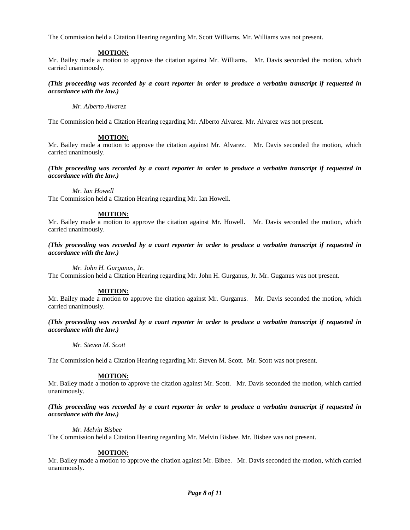The Commission held a Citation Hearing regarding Mr. Scott Williams. Mr. Williams was not present.

## **MOTION:**

Mr. Bailey made a motion to approve the citation against Mr. Williams. Mr. Davis seconded the motion, which carried unanimously.

*(This proceeding was recorded by a court reporter in order to produce a verbatim transcript if requested in accordance with the law.)*

*Mr. Alberto Alvarez*

The Commission held a Citation Hearing regarding Mr. Alberto Alvarez. Mr. Alvarez was not present.

# **MOTION:**

Mr. Bailey made a motion to approve the citation against Mr. Alvarez. Mr. Davis seconded the motion, which carried unanimously.

*(This proceeding was recorded by a court reporter in order to produce a verbatim transcript if requested in accordance with the law.)*

*Mr. Ian Howell*

The Commission held a Citation Hearing regarding Mr. Ian Howell.

## **MOTION:**

Mr. Bailey made a motion to approve the citation against Mr. Howell. Mr. Davis seconded the motion, which carried unanimously.

*(This proceeding was recorded by a court reporter in order to produce a verbatim transcript if requested in accordance with the law.)*

*Mr. John H. Gurganus, Jr.*

The Commission held a Citation Hearing regarding Mr. John H. Gurganus, Jr. Mr. Guganus was not present.

#### **MOTION:**

Mr. Bailey made a motion to approve the citation against Mr. Gurganus. Mr. Davis seconded the motion, which carried unanimously.

*(This proceeding was recorded by a court reporter in order to produce a verbatim transcript if requested in accordance with the law.)*

*Mr. Steven M. Scott*

The Commission held a Citation Hearing regarding Mr. Steven M. Scott. Mr. Scott was not present.

# **MOTION:**

Mr. Bailey made a motion to approve the citation against Mr. Scott. Mr. Davis seconded the motion, which carried unanimously.

## *(This proceeding was recorded by a court reporter in order to produce a verbatim transcript if requested in accordance with the law.)*

#### *Mr. Melvin Bisbee*

The Commission held a Citation Hearing regarding Mr. Melvin Bisbee. Mr. Bisbee was not present.

#### **MOTION:**

Mr. Bailey made a motion to approve the citation against Mr. Bibee. Mr. Davis seconded the motion, which carried unanimously.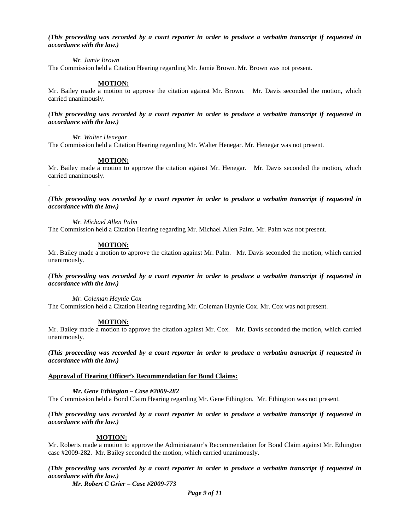## *(This proceeding was recorded by a court reporter in order to produce a verbatim transcript if requested in accordance with the law.)*

## *Mr. Jamie Brown*

The Commission held a Citation Hearing regarding Mr. Jamie Brown. Mr. Brown was not present.

## **MOTION:**

Mr. Bailey made a motion to approve the citation against Mr. Brown. Mr. Davis seconded the motion, which carried unanimously.

## *(This proceeding was recorded by a court reporter in order to produce a verbatim transcript if requested in accordance with the law.)*

*Mr. Walter Henegar*

.

The Commission held a Citation Hearing regarding Mr. Walter Henegar. Mr. Henegar was not present.

## **MOTION:**

Mr. Bailey made a motion to approve the citation against Mr. Henegar. Mr. Davis seconded the motion, which carried unanimously.

*(This proceeding was recorded by a court reporter in order to produce a verbatim transcript if requested in accordance with the law.)*

*Mr. Michael Allen Palm*

The Commission held a Citation Hearing regarding Mr. Michael Allen Palm. Mr. Palm was not present.

#### **MOTION:**

Mr. Bailey made a motion to approve the citation against Mr. Palm. Mr. Davis seconded the motion, which carried unanimously.

*(This proceeding was recorded by a court reporter in order to produce a verbatim transcript if requested in accordance with the law.)*

*Mr. Coleman Haynie Cox* 

The Commission held a Citation Hearing regarding Mr. Coleman Haynie Cox. Mr. Cox was not present.

#### **MOTION:**

Mr. Bailey made a motion to approve the citation against Mr. Cox. Mr. Davis seconded the motion, which carried unanimously.

*(This proceeding was recorded by a court reporter in order to produce a verbatim transcript if requested in accordance with the law.)*

## **Approval of Hearing Officer's Recommendation for Bond Claims:**

## *Mr. Gene Ethington – Case #2009-282*

The Commission held a Bond Claim Hearing regarding Mr. Gene Ethington. Mr. Ethington was not present.

*(This proceeding was recorded by a court reporter in order to produce a verbatim transcript if requested in accordance with the law.)*

#### **MOTION:**

Mr. Roberts made a motion to approve the Administrator's Recommendation for Bond Claim against Mr. Ethington case #2009-282. Mr. Bailey seconded the motion, which carried unanimously.

*(This proceeding was recorded by a court reporter in order to produce a verbatim transcript if requested in accordance with the law.)*

*Mr. Robert C Grier – Case #2009-773*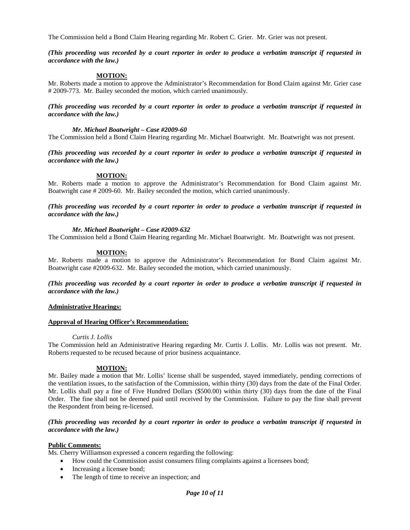The Commission held a Bond Claim Hearing regarding Mr. Robert C. Grier. Mr. Grier was not present.

## *(This proceeding was recorded by a court reporter in order to produce a verbatim transcript if requested in accordance with the law.)*

# **MOTION:**

Mr. Roberts made a motion to approve the Administrator's Recommendation for Bond Claim against Mr. Grier case # 2009-773. Mr. Bailey seconded the motion, which carried unanimously.

*(This proceeding was recorded by a court reporter in order to produce a verbatim transcript if requested in accordance with the law.)*

#### *Mr. Michael Boatwright – Case #2009-60*

The Commission held a Bond Claim Hearing regarding Mr. Michael Boatwright. Mr. Boatwright was not present.

*(This proceeding was recorded by a court reporter in order to produce a verbatim transcript if requested in accordance with the law.)*

#### **MOTION:**

Mr. Roberts made a motion to approve the Administrator's Recommendation for Bond Claim against Mr. Boatwright case # 2009-60. Mr. Bailey seconded the motion, which carried unanimously.

## *(This proceeding was recorded by a court reporter in order to produce a verbatim transcript if requested in accordance with the law.)*

## *Mr. Michael Boatwright – Case #2009-632*

The Commission held a Bond Claim Hearing regarding Mr. Michael Boatwright. Mr. Boatwright was not present.

## **MOTION:**

Mr. Roberts made a motion to approve the Administrator's Recommendation for Bond Claim against Mr. Boatwright case #2009-632. Mr. Bailey seconded the motion, which carried unanimously.

# *(This proceeding was recorded by a court reporter in order to produce a verbatim transcript if requested in accordance with the law.)*

#### **Administrative Hearings:**

#### **Approval of Hearing Officer's Recommendation:**

#### *Curtis J. Lollis*

The Commission held an Administrative Hearing regarding Mr. Curtis J. Lollis. Mr. Lollis was not present. Mr. Roberts requested to be recused because of prior business acquaintance.

# **MOTION:**

Mr. Bailey made a motion that Mr. Lollis' license shall be suspended, stayed immediately, pending corrections of the ventilation issues, to the satisfaction of the Commission, within thirty (30) days from the date of the Final Order. Mr. Lollis shall pay a fine of Five Hundred Dollars (\$500.00) within thirty (30) days from the date of the Final Order. The fine shall not be deemed paid until received by the Commission. Failure to pay the fine shall prevent the Respondent from being re-licensed.

# *(This proceeding was recorded by a court reporter in order to produce a verbatim transcript if requested in accordance with the law.)*

#### **Public Comments:**

Ms. Cherry Williamson expressed a concern regarding the following:

- How could the Commission assist consumers filing complaints against a licensees bond;
- Increasing a licensee bond;
- The length of time to receive an inspection; and